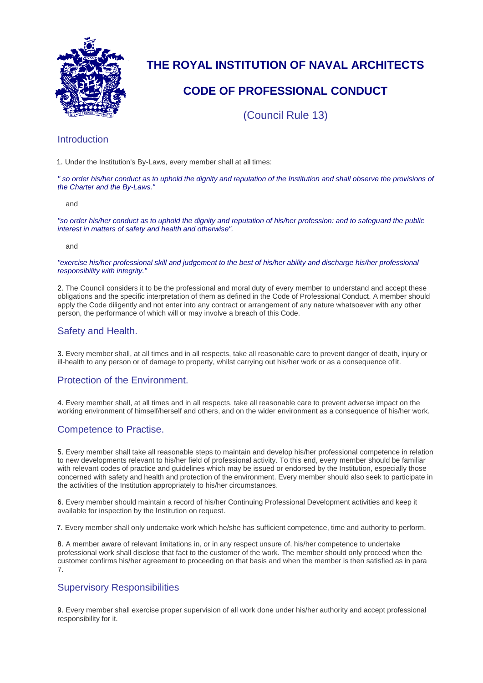

# **THE ROYAL INSTITUTION OF NAVAL ARCHITECTS**

## **CODE OF PROFESSIONAL CONDUCT**

(Council Rule 13)

## **Introduction**

1. Under the Institution's By-Laws, every member shall at all times:

*" so order his/her conduct as to uphold the dignity and reputation of the Institution and shall observe the provisions of the Charter and the By-Laws."*

and

*"so order his/her conduct as to uphold the dignity and reputation of his/her profession: and to safeguard the public interest in matters of safety and health and otherwise".*

and

*"exercise his/her professional skill and judgement to the best of his/her ability and discharge his/her professional responsibility with integrity."*

2. The Council considers it to be the professional and moral duty of every member to understand and accept these obligations and the specific interpretation of them as defined in the Code of Professional Conduct. A member should apply the Code diligently and not enter into any contract or arrangement of any nature whatsoever with any other person, the performance of which will or may involve a breach of this Code.

## Safety and Health.

3. Every member shall, at all times and in all respects, take all reasonable care to prevent danger of death, injury or ill-health to any person or of damage to property, whilst carrying out his/her work or as a consequence ofit.

## Protection of the Environment.

4. Every member shall, at all times and in all respects, take all reasonable care to prevent adverse impact on the working environment of himself/herself and others, and on the wider environment as a consequence of his/her work.

## Competence to Practise.

5. Every member shall take all reasonable steps to maintain and develop his/her professional competence in relation to new developments relevant to his/her field of professional activity. To this end, every member should be familiar with relevant codes of practice and guidelines which may be issued or endorsed by the Institution, especially those concerned with safety and health and protection of the environment. Every member should also seek to participate in the activities of the Institution appropriately to his/her circumstances.

6. Every member should maintain a record of his/her Continuing Professional Development activities and keep it available for inspection by the Institution on request.

7. Every member shall only undertake work which he/she has sufficient competence, time and authority to perform.

8. A member aware of relevant limitations in, or in any respect unsure of, his/her competence to undertake professional work shall disclose that fact to the customer of the work. The member should only proceed when the customer confirms his/her agreement to proceeding on that basis and when the member is then satisfied as in para 7.

## Supervisory Responsibilities

9. Every member shall exercise proper supervision of all work done under his/her authority and accept professional responsibility for it.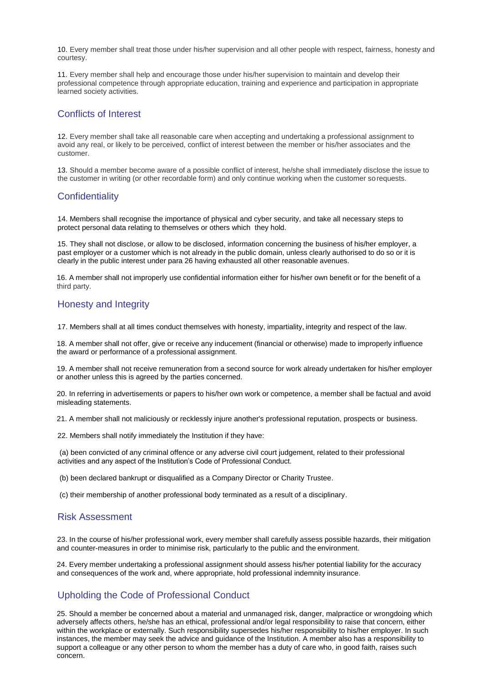10. Every member shall treat those under his/her supervision and all other people with respect, fairness, honesty and courtesy.

11. Every member shall help and encourage those under his/her supervision to maintain and develop their professional competence through appropriate education, training and experience and participation in appropriate learned society activities.

#### Conflicts of Interest

12. Every member shall take all reasonable care when accepting and undertaking a professional assignment to avoid any real, or likely to be perceived, conflict of interest between the member or his/her associates and the customer.

13. Should a member become aware of a possible conflict of interest, he/she shall immediately disclose the issue to the customer in writing (or other recordable form) and only continue working when the customer sorequests.

## **Confidentiality**

14. Members shall recognise the importance of physical and cyber security, and take all necessary steps to protect personal data relating to themselves or others which they hold.

15. They shall not disclose, or allow to be disclosed, information concerning the business of his/her employer, a past employer or a customer which is not already in the public domain, unless clearly authorised to do so or it is clearly in the public interest under para 26 having exhausted all other reasonable avenues.

16. A member shall not improperly use confidential information either for his/her own benefit or for the benefit of a third party.

## Honesty and Integrity

17. Members shall at all times conduct themselves with honesty, impartiality, integrity and respect of the law.

18. A member shall not offer, give or receive any inducement (financial or otherwise) made to improperly influence the award or performance of a professional assignment.

19. A member shall not receive remuneration from a second source for work already undertaken for his/her employer or another unless this is agreed by the parties concerned.

20. In referring in advertisements or papers to his/her own work or competence, a member shall be factual and avoid misleading statements.

21. A member shall not maliciously or recklessly injure another's professional reputation, prospects or business.

22. Members shall notify immediately the Institution if they have:

(a) been convicted of any criminal offence or any adverse civil court judgement, related to their professional activities and any aspect of the Institution's Code of Professional Conduct.

(b) been declared bankrupt or disqualified as a Company Director or Charity Trustee.

(c) their membership of another professional body terminated as a result of a disciplinary.

#### Risk Assessment

 23. In the course of his/her professional work, every member shall carefully assess possible hazards, their mitigation and counter-measures in order to minimise risk, particularly to the public and the environment.

24. Every member undertaking a professional assignment should assess his/her potential liability for the accuracy and consequences of the work and, where appropriate, hold professional indemnity insurance.

## Upholding the Code of Professional Conduct

25. Should a member be concerned about a material and unmanaged risk, danger, malpractice or wrongdoing which adversely affects others, he/she has an ethical, professional and/or legal responsibility to raise that concern, either within the workplace or externally. Such responsibility supersedes his/her responsibility to his/her employer. In such instances, the member may seek the advice and guidance of the Institution. A member also has a responsibility to support a colleague or any other person to whom the member has a duty of care who, in good faith, raises such concern.